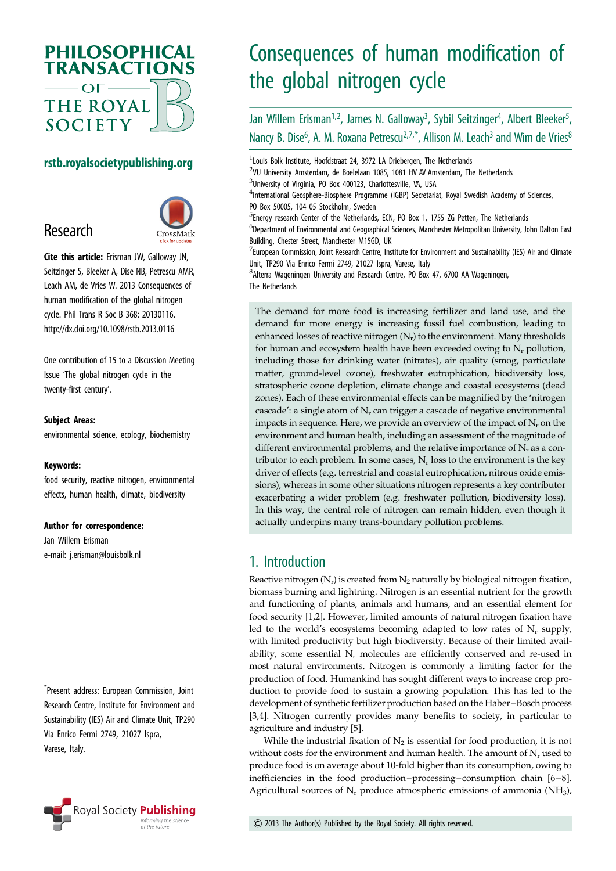

### rstb.royalsocietypublishing.org

## Research



Cite this article: Erisman JW, Galloway JN, Seitzinger S, Bleeker A, Dise NB, Petrescu AMR, Leach AM, de Vries W. 2013 Consequences of human modification of the global nitrogen cycle. Phil Trans R Soc B 368: 20130116. http://dx.doi.org/10.1098/rstb.2013.0116

One contribution of 15 to a Discussion Meeting Issue 'The global nitrogen cycle in the twenty-first century'.

#### Subject Areas:

environmental science, ecology, biochemistry

#### Keywords:

food security, reactive nitrogen, environmental effects, human health, climate, biodiversity

#### Author for correspondence:

Jan Willem Erisman e-mail: [j.erisman@louisbolk.nl](mailto:j.erisman@louisbolk.nl)

\* Present address: European Commission, Joint Research Centre, Institute for Environment and Sustainability (IES) Air and Climate Unit, TP290 Via Enrico Fermi 2749, 21027 Ispra, Varese, Italy.



# Consequences of human modification of the global nitrogen cycle

Jan Willem Erisman<sup>1,2</sup>, James N. Galloway<sup>3</sup>, Sybil Seitzinger<sup>4</sup>, Albert Bleeker<sup>5</sup> , Nancy B. Dise<sup>6</sup>, A. M. Roxana Petrescu<sup>2,7,\*</sup>, Allison M. Leach<sup>3</sup> and Wim de Vries<sup>8</sup>

<sup>1</sup>Louis Bolk Institute, Hoofdstraat 24, 3972 LA Driebergen, The Netherlands

 $2$ VU University Amsterdam, de Boelelaan 1085, 1081 HV AV Amsterdam, The Netherlands

6 Department of Environmental and Geographical Sciences, Manchester Metropolitan University, John Dalton East Building, Chester Street, Manchester M15GD, UK

 $^7$ European Commission, Joint Research Centre, Institute for Environment and Sustainability (IES) Air and Climate Unit, TP290 Via Enrico Fermi 2749, 21027 Ispra, Varese, Italy

8 Alterra Wageningen University and Research Centre, PO Box 47, 6700 AA Wageningen, The Netherlands

The demand for more food is increasing fertilizer and land use, and the demand for more energy is increasing fossil fuel combustion, leading to enhanced losses of reactive nitrogen  $(N_r)$  to the environment. Many thresholds for human and ecosystem health have been exceeded owing to  $N_r$  pollution, including those for drinking water (nitrates), air quality (smog, particulate matter, ground-level ozone), freshwater eutrophication, biodiversity loss, stratospheric ozone depletion, climate change and coastal ecosystems (dead zones). Each of these environmental effects can be magnified by the 'nitrogen cascade': a single atom of  $N_r$  can trigger a cascade of negative environmental impacts in sequence. Here, we provide an overview of the impact of  $N_r$  on the environment and human health, including an assessment of the magnitude of different environmental problems, and the relative importance of  $N_r$  as a contributor to each problem. In some cases,  $N_r$  loss to the environment is the key driver of effects (e.g. terrestrial and coastal eutrophication, nitrous oxide emissions), whereas in some other situations nitrogen represents a key contributor exacerbating a wider problem (e.g. freshwater pollution, biodiversity loss). In this way, the central role of nitrogen can remain hidden, even though it actually underpins many trans-boundary pollution problems.

### 1. Introduction

Reactive nitrogen  $(N_r)$  is created from  $N_2$  naturally by biological nitrogen fixation, biomass burning and lightning. Nitrogen is an essential nutrient for the growth and functioning of plants, animals and humans, and an essential element for food security [\[1,2](#page-7-0)]. However, limited amounts of natural nitrogen fixation have led to the world's ecosystems becoming adapted to low rates of  $N_r$  supply, with limited productivity but high biodiversity. Because of their limited availability, some essential  $N_r$  molecules are efficiently conserved and re-used in most natural environments. Nitrogen is commonly a limiting factor for the production of food. Humankind has sought different ways to increase crop production to provide food to sustain a growing population. This has led to the development of synthetic fertilizer production based on the Haber–Bosch process [[3,4\]](#page-7-0). Nitrogen currently provides many benefits to society, in particular to agriculture and industry [[5](#page-7-0)].

While the industrial fixation of  $N_2$  is essential for food production, it is not without costs for the environment and human health. The amount of  $N_r$  used to produce food is on average about 10-fold higher than its consumption, owing to inefficiencies in the food production-processing-consumption chain  $[6-8]$  $[6-8]$ . Agricultural sources of  $N_r$  produce atmospheric emissions of ammonia ( $NH_3$ ),

<sup>3</sup> University of Virginia, PO Box 400123, Charlottesville, VA, USA

<sup>&</sup>lt;sup>4</sup>International Geosphere-Biosphere Programme (IGBP) Secretariat, Royal Swedish Academy of Sciences, PO Box 50005, 104 05 Stockholm, Sweden

<sup>&</sup>lt;sup>5</sup>Energy research Center of the Netherlands, ECN, PO Box 1, 1755 ZG Petten, The Netherlands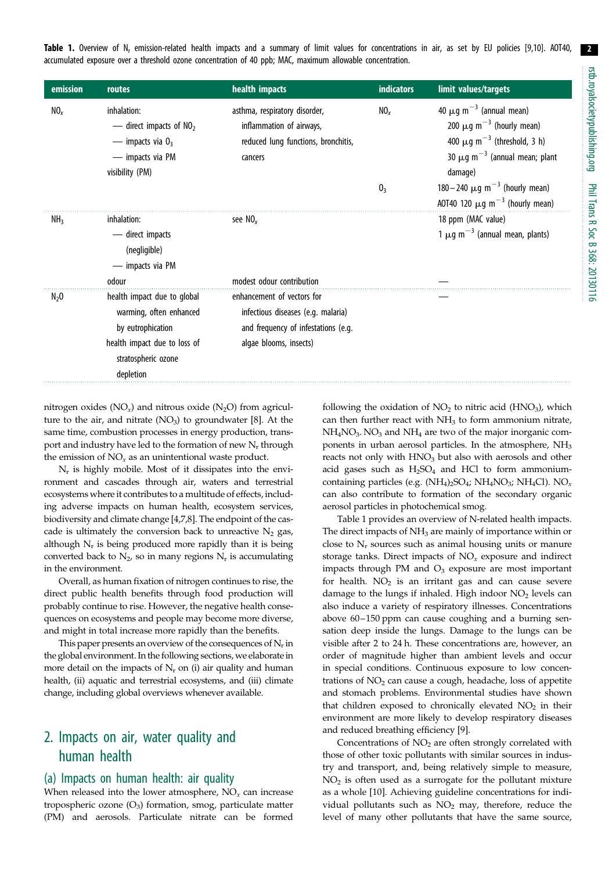<span id="page-1-0"></span>Table 1. Overview of N<sub>r</sub> emission-related health impacts and a summary of limit values for concentrations in air, as set by EU policies [[9,10\]](#page-7-0). AOT40, accumulated exposure over a threshold ozone concentration of 40 ppb; MAC, maximum allowable concentration.

| emission        | routes                                                                                                                                          | health impacts                                                                                                                    | <b>indicators</b> | limit values/targets                                                                                                                                                                               |
|-----------------|-------------------------------------------------------------------------------------------------------------------------------------------------|-----------------------------------------------------------------------------------------------------------------------------------|-------------------|----------------------------------------------------------------------------------------------------------------------------------------------------------------------------------------------------|
| NO <sub>x</sub> | inhalation:<br>— direct impacts of $NO2$<br>— impacts via $0_3$<br>— impacts via PM<br>visibility (PM)                                          | asthma, respiratory disorder,<br>inflammation of airways,<br>reduced lung functions, bronchitis,<br>cancers                       | $NO_{x}$          | 40 $\mu$ g m <sup>-3</sup> (annual mean)<br>200 $\mu$ g m <sup>-3</sup> (hourly mean)<br>400 $\mu$ g m <sup>-3</sup> (threshold, 3 h)<br>30 $\mu$ g m <sup>-3</sup> (annual mean; plant<br>damage) |
|                 |                                                                                                                                                 |                                                                                                                                   | 0 <sub>3</sub>    | 180 - 240 $\mu$ g m <sup>-3</sup> (hourly mean)<br>A0T40 120 $\mu$ g m <sup>-3</sup> (hourly mean)                                                                                                 |
| NH <sub>3</sub> | inhalation:<br>- direct impacts<br>(negligible)<br>- impacts via PM                                                                             | see NO <sub>v</sub>                                                                                                               |                   | 18 ppm (MAC value)<br>1 $\mu$ g m <sup>-3</sup> (annual mean, plants)                                                                                                                              |
|                 | odour                                                                                                                                           | modest odour contribution                                                                                                         |                   |                                                                                                                                                                                                    |
| $N_{2}0$        | health impact due to global<br>warming, often enhanced<br>by eutrophication<br>health impact due to loss of<br>stratospheric ozone<br>depletion | enhancement of vectors for<br>infectious diseases (e.g. malaria)<br>and frequency of infestations (e.g.<br>algae blooms, insects) |                   |                                                                                                                                                                                                    |

nitrogen oxides  $(NO_x)$  and nitrous oxide  $(N_2O)$  from agriculture to the air, and nitrate  $(NO<sub>3</sub>)$  to groundwater [\[8\]](#page-7-0). At the same time, combustion processes in energy production, transport and industry have led to the formation of new  $N_r$  through the emission of  $NO<sub>x</sub>$  as an unintentional waste product.

 $N_r$  is highly mobile. Most of it dissipates into the environment and cascades through air, waters and terrestrial ecosystems where it contributes to a multitude of effects, including adverse impacts on human health, ecosystem services, biodiversity and climate change [\[4,7,8\]](#page-7-0). The endpoint of the cascade is ultimately the conversion back to unreactive  $N_2$  gas, although  $N_r$  is being produced more rapidly than it is being converted back to  $N_2$ , so in many regions  $N_r$  is accumulating in the environment.

Overall, as human fixation of nitrogen continues to rise, the direct public health benefits through food production will probably continue to rise. However, the negative health consequences on ecosystems and people may become more diverse, and might in total increase more rapidly than the benefits.

This paper presents an overview of the consequences of  $N_r$  in the global environment. In the following sections, we elaborate in more detail on the impacts of  $N_r$  on (i) air quality and human health, (ii) aquatic and terrestrial ecosystems, and (iii) climate change, including global overviews whenever available.

### 2. Impacts on air, water quality and human health

#### (a) Impacts on human health: air quality

When released into the lower atmosphere,  $NO<sub>x</sub>$  can increase tropospheric ozone (O3) formation, smog, particulate matter (PM) and aerosols. Particulate nitrate can be formed following the oxidation of  $NO<sub>2</sub>$  to nitric acid (HNO<sub>3</sub>), which can then further react with  $NH<sub>3</sub>$  to form ammonium nitrate,  $NH<sub>4</sub>NO<sub>3</sub>$ . NO<sub>3</sub> and NH<sub>4</sub> are two of the major inorganic components in urban aerosol particles. In the atmosphere, NH3 reacts not only with  $HNO<sub>3</sub>$  but also with aerosols and other acid gases such as  $H_2SO_4$  and HCl to form ammoniumcontaining particles (e.g.  $(NH_4)$ <sub>2</sub>SO<sub>4</sub>;  $NH_4NO_3$ ;  $NH_4Cl$ ). NO<sub>x</sub> can also contribute to formation of the secondary organic aerosol particles in photochemical smog.

Table 1 provides an overview of N-related health impacts. The direct impacts of  $NH<sub>3</sub>$  are mainly of importance within or close to  $N_r$  sources such as animal housing units or manure storage tanks. Direct impacts of  $NO<sub>x</sub>$  exposure and indirect impacts through PM and  $O_3$  exposure are most important for health.  $NO<sub>2</sub>$  is an irritant gas and can cause severe damage to the lungs if inhaled. High indoor  $NO<sub>2</sub>$  levels can also induce a variety of respiratory illnesses. Concentrations above 60–150 ppm can cause coughing and a burning sensation deep inside the lungs. Damage to the lungs can be visible after 2 to 24 h. These concentrations are, however, an order of magnitude higher than ambient levels and occur in special conditions. Continuous exposure to low concentrations of  $NO<sub>2</sub>$  can cause a cough, headache, loss of appetite and stomach problems. Environmental studies have shown that children exposed to chronically elevated  $NO<sub>2</sub>$  in their environment are more likely to develop respiratory diseases and reduced breathing efficiency [\[9\]](#page-7-0).

Concentrations of  $NO<sub>2</sub>$  are often strongly correlated with those of other toxic pollutants with similar sources in industry and transport, and, being relatively simple to measure,  $NO<sub>2</sub>$  is often used as a surrogate for the pollutant mixture as a whole [\[10](#page-7-0)]. Achieving guideline concentrations for individual pollutants such as  $NO<sub>2</sub>$  may, therefore, reduce the level of many other pollutants that have the same source,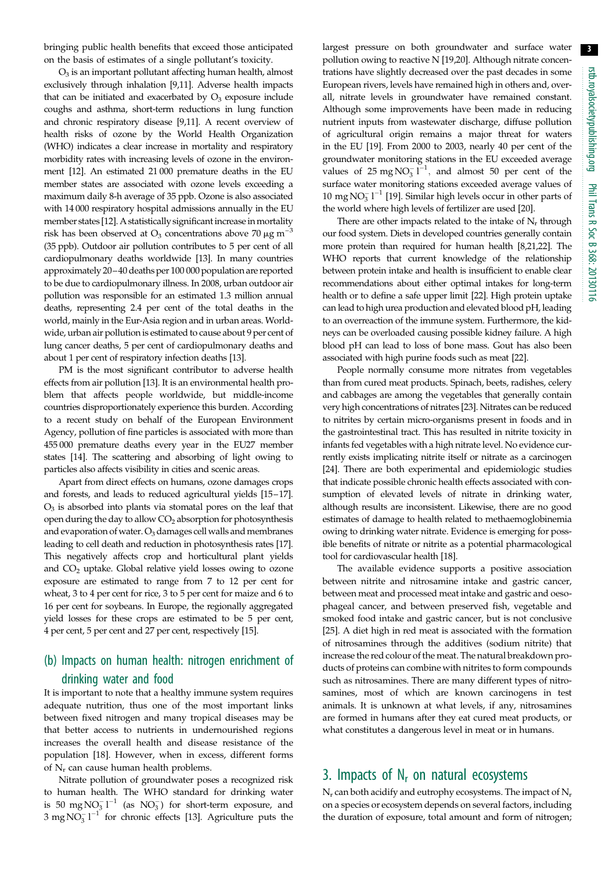bringing public health benefits that exceed those anticipated on the basis of estimates of a single pollutant's toxicity.

 $O<sub>3</sub>$  is an important pollutant affecting human health, almost exclusively through inhalation [\[9,11](#page-7-0)]. Adverse health impacts that can be initiated and exacerbated by  $O_3$  exposure include coughs and asthma, short-term reductions in lung function and chronic respiratory disease [[9,11\]](#page-7-0). A recent overview of health risks of ozone by the World Health Organization (WHO) indicates a clear increase in mortality and respiratory morbidity rates with increasing levels of ozone in the environment [\[12](#page-7-0)]. An estimated 21 000 premature deaths in the EU member states are associated with ozone levels exceeding a maximum daily 8-h average of 35 ppb. Ozone is also associated with 14 000 respiratory hospital admissions annually in the EU member states [[12](#page-7-0)]. A statistically significant increase in mortality risk has been observed at  $O_3$  concentrations above 70  $\mu$ g m<sup>-3</sup> (35 ppb). Outdoor air pollution contributes to 5 per cent of all cardiopulmonary deaths worldwide [\[13\]](#page-7-0). In many countries approximately 20–40 deaths per 100 000 population are reported to be due to cardiopulmonary illness. In 2008, urban outdoor air pollution was responsible for an estimated 1.3 million annual deaths, representing 2.4 per cent of the total deaths in the world, mainly in the Eur-Asia region and in urban areas. Worldwide, urban air pollution is estimated to cause about 9 per cent of lung cancer deaths, 5 per cent of cardiopulmonary deaths and about 1 per cent of respiratory infection deaths [\[13](#page-7-0)].

PM is the most significant contributor to adverse health effects from air pollution [\[13\]](#page-7-0). It is an environmental health problem that affects people worldwide, but middle-income countries disproportionately experience this burden. According to a recent study on behalf of the European Environment Agency, pollution of fine particles is associated with more than 455 000 premature deaths every year in the EU27 member states [\[14\]](#page-7-0). The scattering and absorbing of light owing to particles also affects visibility in cities and scenic areas.

Apart from direct effects on humans, ozone damages crops and forests, and leads to reduced agricultural yields [\[15](#page-7-0)–[17](#page-7-0)].  $O<sub>3</sub>$  is absorbed into plants via stomatal pores on the leaf that open during the day to allow  $CO<sub>2</sub>$  absorption for photosynthesis and evaporation of water.  $O_3$  damages cell walls and membranes leading to cell death and reduction in photosynthesis rates [[17](#page-7-0)]. This negatively affects crop and horticultural plant yields and  $CO<sub>2</sub>$  uptake. Global relative yield losses owing to ozone exposure are estimated to range from 7 to 12 per cent for wheat, 3 to 4 per cent for rice, 3 to 5 per cent for maize and 6 to 16 per cent for soybeans. In Europe, the regionally aggregated yield losses for these crops are estimated to be 5 per cent, 4 per cent, 5 per cent and 27 per cent, respectively [\[15](#page-7-0)].

### (b) Impacts on human health: nitrogen enrichment of drinking water and food

It is important to note that a healthy immune system requires adequate nutrition, thus one of the most important links between fixed nitrogen and many tropical diseases may be that better access to nutrients in undernourished regions increases the overall health and disease resistance of the population [[18\]](#page-7-0). However, when in excess, different forms of  $N_r$  can cause human health problems.

Nitrate pollution of groundwater poses a recognized risk to human health. The WHO standard for drinking water is 50 mg  $NO_3^ 1^{-1}$  (as  $NO_3^-$ ) for short-term exposure, and 3 mg NO<sub>3</sub>  $1^{-1}$  for chronic effects [[13\]](#page-7-0). Agriculture puts the

largest pressure on both groundwater and surface water pollution owing to reactive N [[19,20\]](#page-7-0). Although nitrate concentrations have slightly decreased over the past decades in some European rivers, levels have remained high in others and, overall, nitrate levels in groundwater have remained constant. Although some improvements have been made in reducing nutrient inputs from wastewater discharge, diffuse pollution of agricultural origin remains a major threat for waters in the EU [[19\]](#page-7-0). From 2000 to 2003, nearly 40 per cent of the groundwater monitoring stations in the EU exceeded average values of  $25 \text{ mg} \text{NO}_3^{-1}$ , and almost 50 per cent of the surface water monitoring stations exceeded average values of 10 mg  $NO_3^ l^{-1}$  [[19](#page-7-0)]. Similar high levels occur in other parts of the world where high levels of fertilizer are used [[20](#page-7-0)].

There are other impacts related to the intake of  $N_r$  through our food system. Diets in developed countries generally contain more protein than required for human health [\[8,21](#page-7-0)[,22](#page-8-0)]. The WHO reports that current knowledge of the relationship between protein intake and health is insufficient to enable clear recommendations about either optimal intakes for long-term health or to define a safe upper limit [\[22](#page-8-0)]. High protein uptake can lead to high urea production and elevated blood pH, leading to an overreaction of the immune system. Furthermore, the kidneys can be overloaded causing possible kidney failure. A high blood pH can lead to loss of bone mass. Gout has also been associated with high purine foods such as meat [\[22](#page-8-0)].

People normally consume more nitrates from vegetables than from cured meat products. Spinach, beets, radishes, celery and cabbages are among the vegetables that generally contain very high concentrations of nitrates [\[23](#page-8-0)]. Nitrates can be reduced to nitrites by certain micro-organisms present in foods and in the gastrointestinal tract. This has resulted in nitrite toxicity in infants fed vegetables with a high nitrate level. No evidence currently exists implicating nitrite itself or nitrate as a carcinogen [[24](#page-8-0)]. There are both experimental and epidemiologic studies that indicate possible chronic health effects associated with consumption of elevated levels of nitrate in drinking water, although results are inconsistent. Likewise, there are no good estimates of damage to health related to methaemoglobinemia owing to drinking water nitrate. Evidence is emerging for possible benefits of nitrate or nitrite as a potential pharmacological tool for cardiovascular health [[18\]](#page-7-0).

The available evidence supports a positive association between nitrite and nitrosamine intake and gastric cancer, between meat and processed meat intake and gastric and oesophageal cancer, and between preserved fish, vegetable and smoked food intake and gastric cancer, but is not conclusive [[25\]](#page-8-0). A diet high in red meat is associated with the formation of nitrosamines through the additives (sodium nitrite) that increase the red colour of the meat. The natural breakdown products of proteins can combine with nitrites to form compounds such as nitrosamines. There are many different types of nitrosamines, most of which are known carcinogens in test animals. It is unknown at what levels, if any, nitrosamines are formed in humans after they eat cured meat products, or what constitutes a dangerous level in meat or in humans.

### 3. Impacts of  $N_r$  on natural ecosystems

 $N_r$  can both acidify and eutrophy ecosystems. The impact of  $N_r$ on a species or ecosystem depends on several factors, including the duration of exposure, total amount and form of nitrogen;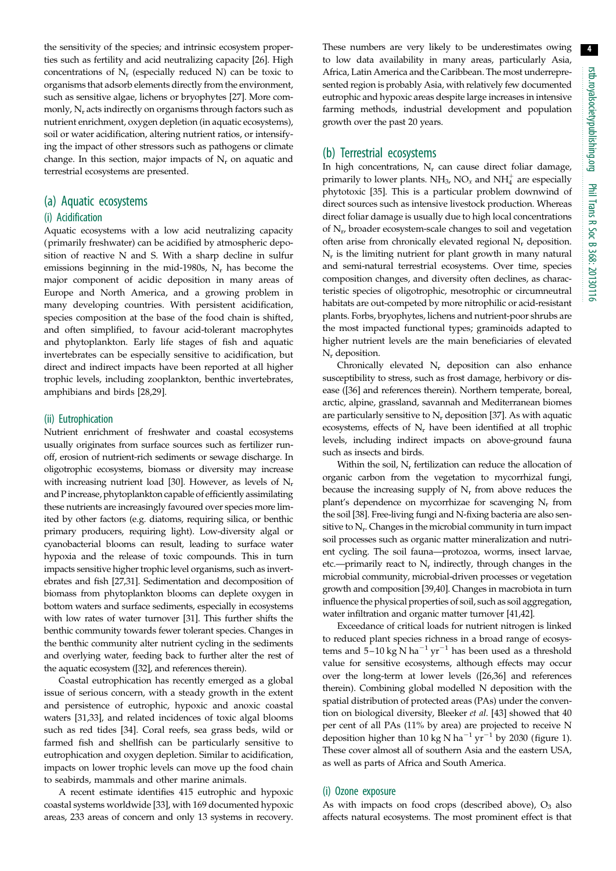the sensitivity of the species; and intrinsic ecosystem properties such as fertility and acid neutralizing capacity [[26\]](#page-8-0). High concentrations of  $N_r$  (especially reduced N) can be toxic to organisms that adsorb elements directly from the environment, such as sensitive algae, lichens or bryophytes [\[27](#page-8-0)]. More commonly,  $N_r$  acts indirectly on organisms through factors such as nutrient enrichment, oxygen depletion (in aquatic ecosystems), soil or water acidification, altering nutrient ratios, or intensifying the impact of other stressors such as pathogens or climate change. In this section, major impacts of  $N_r$  on aquatic and terrestrial ecosystems are presented.

#### (a) Aquatic ecosystems

#### (i) Acidification

Aquatic ecosystems with a low acid neutralizing capacity (primarily freshwater) can be acidified by atmospheric deposition of reactive N and S. With a sharp decline in sulfur emissions beginning in the mid-1980s,  $N_r$  has become the major component of acidic deposition in many areas of Europe and North America, and a growing problem in many developing countries. With persistent acidification, species composition at the base of the food chain is shifted, and often simplified, to favour acid-tolerant macrophytes and phytoplankton. Early life stages of fish and aquatic invertebrates can be especially sensitive to acidification, but direct and indirect impacts have been reported at all higher trophic levels, including zooplankton, benthic invertebrates, amphibians and birds [[28,29](#page-8-0)].

#### (ii) Eutrophication

Nutrient enrichment of freshwater and coastal ecosystems usually originates from surface sources such as fertilizer runoff, erosion of nutrient-rich sediments or sewage discharge. In oligotrophic ecosystems, biomass or diversity may increase with increasing nutrient load [\[30](#page-8-0)]. However, as levels of  $N_r$ and P increase, phytoplankton capable of efficiently assimilating these nutrients are increasingly favoured over species more limited by other factors (e.g. diatoms, requiring silica, or benthic primary producers, requiring light). Low-diversity algal or cyanobacterial blooms can result, leading to surface water hypoxia and the release of toxic compounds. This in turn impacts sensitive higher trophic level organisms, such as invertebrates and fish [\[27,31\]](#page-8-0). Sedimentation and decomposition of biomass from phytoplankton blooms can deplete oxygen in bottom waters and surface sediments, especially in ecosystems with low rates of water turnover [[31\]](#page-8-0). This further shifts the benthic community towards fewer tolerant species. Changes in the benthic community alter nutrient cycling in the sediments and overlying water, feeding back to further alter the rest of the aquatic ecosystem ([[32](#page-8-0)], and references therein).

Coastal eutrophication has recently emerged as a global issue of serious concern, with a steady growth in the extent and persistence of eutrophic, hypoxic and anoxic coastal waters [\[31,33](#page-8-0)], and related incidences of toxic algal blooms such as red tides [[34\]](#page-8-0). Coral reefs, sea grass beds, wild or farmed fish and shellfish can be particularly sensitive to eutrophication and oxygen depletion. Similar to acidification, impacts on lower trophic levels can move up the food chain to seabirds, mammals and other marine animals.

A recent estimate identifies 415 eutrophic and hypoxic coastal systems worldwide [[33\]](#page-8-0), with 169 documented hypoxic areas, 233 areas of concern and only 13 systems in recovery. These numbers are very likely to be underestimates owing to low data availability in many areas, particularly Asia, Africa, Latin America and the Caribbean. The most underrepresented region is probably Asia, with relatively few documented eutrophic and hypoxic areas despite large increases in intensive farming methods, industrial development and population growth over the past 20 years.

#### (b) Terrestrial ecosystems

In high concentrations,  $N_r$  can cause direct foliar damage, primarily to lower plants.  $NH_3$ ,  $NO_x$  and  $NH_4^+$  are especially phytotoxic [[35](#page-8-0)]. This is a particular problem downwind of direct sources such as intensive livestock production. Whereas direct foliar damage is usually due to high local concentrations of  $N_{rr}$  broader ecosystem-scale changes to soil and vegetation often arise from chronically elevated regional  $N_r$  deposition.  $N_r$  is the limiting nutrient for plant growth in many natural and semi-natural terrestrial ecosystems. Over time, species composition changes, and diversity often declines, as characteristic species of oligotrophic, mesotrophic or circumneutral habitats are out-competed by more nitrophilic or acid-resistant plants. Forbs, bryophytes, lichens and nutrient-poor shrubs are the most impacted functional types; graminoids adapted to higher nutrient levels are the main beneficiaries of elevated N<sub>r</sub> deposition.

Chronically elevated  $N_r$  deposition can also enhance susceptibility to stress, such as frost damage, herbivory or disease ([[36](#page-8-0)] and references therein). Northern temperate, boreal, arctic, alpine, grassland, savannah and Mediterranean biomes are particularly sensitive to  $N_r$  deposition [\[37\]](#page-8-0). As with aquatic ecosystems, effects of  $N_r$  have been identified at all trophic levels, including indirect impacts on above-ground fauna such as insects and birds.

Within the soil,  $N_r$  fertilization can reduce the allocation of organic carbon from the vegetation to mycorrhizal fungi, because the increasing supply of  $N_r$  from above reduces the plant's dependence on mycorrhizae for scavenging  $N_r$  from the soil [[38](#page-8-0)]. Free-living fungi and N-fixing bacteria are also sensitive to  $N_r$ . Changes in the microbial community in turn impact soil processes such as organic matter mineralization and nutrient cycling. The soil fauna—protozoa, worms, insect larvae, etc.—primarily react to  $N_r$  indirectly, through changes in the microbial community, microbial-driven processes or vegetation growth and composition [[39,40](#page-8-0)]. Changes in macrobiota in turn influence the physical properties of soil, such as soil aggregation, water infiltration and organic matter turnover [[41,42](#page-8-0)].

Exceedance of critical loads for nutrient nitrogen is linked to reduced plant species richness in a broad range of ecosystems and  $5-10 \text{ kg N} \text{ ha}^{-1} \text{ yr}^{-1}$  has been used as a threshold value for sensitive ecosystems, although effects may occur over the long-term at lower levels ([\[26,36](#page-8-0)] and references therein). Combining global modelled N deposition with the spatial distribution of protected areas (PAs) under the convention on biological diversity, Bleeker et al. [[43\]](#page-8-0) showed that 40 per cent of all PAs (11% by area) are projected to receive N deposition higher than 10 kg N ha<sup>-1</sup> yr<sup>-1</sup> by 2030 [\(figure 1\)](#page-4-0). These cover almost all of southern Asia and the eastern USA, as well as parts of Africa and South America.

#### (i) Ozone exposure

As with impacts on food crops (described above),  $O_3$  also affects natural ecosystems. The most prominent effect is that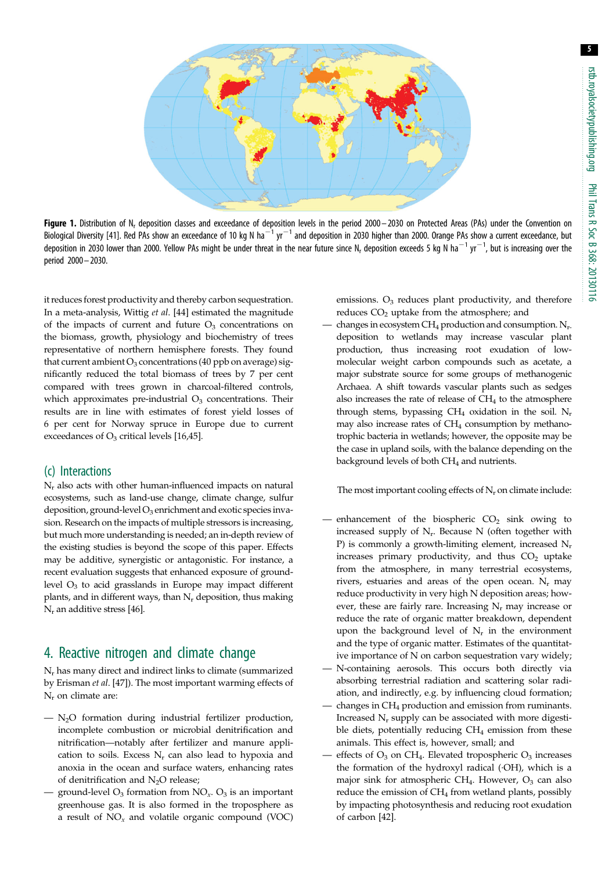<span id="page-4-0"></span>

Figure 1. Distribution of N, deposition classes and exceedance of deposition levels in the period 2000 – 2030 on Protected Areas (PAs) under the Convention on Biological Diversity [\[41\]](#page-8-0). Red PAs show an exceedance of 10 kg N ha<sup>-1</sup> yr<sup>-1</sup> and deposition in 2030 higher than 2000. Orange PAs show a current exceedance, but deposition in 2030 lower than 2000. Yellow PAs might be under threat in the near future since N<sub>r</sub> deposition exceeds 5 kg N ha $^{-1}$  yr $^{-1}$ , but is increasing over the period 2000– 2030.

it reduces forest productivity and thereby carbon sequestration. In a meta-analysis, Wittig et al. [\[44](#page-8-0)] estimated the magnitude of the impacts of current and future  $O_3$  concentrations on the biomass, growth, physiology and biochemistry of trees representative of northern hemisphere forests. They found that current ambient  $O_3$  concentrations (40 ppb on average) significantly reduced the total biomass of trees by 7 per cent compared with trees grown in charcoal-filtered controls, which approximates pre-industrial  $O<sub>3</sub>$  concentrations. Their results are in line with estimates of forest yield losses of 6 per cent for Norway spruce in Europe due to current exceedances of  $O_3$  critical levels [\[16](#page-7-0)[,45](#page-8-0)].

#### (c) Interactions

Nr also acts with other human-influenced impacts on natural ecosystems, such as land-use change, climate change, sulfur deposition, ground-level  $O_3$  enrichment and exotic species invasion. Research on the impacts of multiple stressors is increasing, but much more understanding is needed; an in-depth review of the existing studies is beyond the scope of this paper. Effects may be additive, synergistic or antagonistic. For instance, a recent evaluation suggests that enhanced exposure of groundlevel  $O_3$  to acid grasslands in Europe may impact different plants, and in different ways, than  $N_r$  deposition, thus making  $N_r$  an additive stress [\[46](#page-8-0)].

### 4. Reactive nitrogen and climate change

Nr has many direct and indirect links to climate (summarized by Erisman et al. [[47\]](#page-8-0)). The most important warming effects of  $N_r$  on climate are:

- $-$  N<sub>2</sub>O formation during industrial fertilizer production, incomplete combustion or microbial denitrification and nitrification—notably after fertilizer and manure application to soils. Excess  $N_r$  can also lead to hypoxia and anoxia in the ocean and surface waters, enhancing rates of denitrification and  $N_2O$  release;
- ground-level  $O_3$  formation from NO<sub>x</sub>.  $O_3$  is an important greenhouse gas. It is also formed in the troposphere as a result of  $NO<sub>x</sub>$  and volatile organic compound (VOC)

emissions.  $O_3$  reduces plant productivity, and therefore reduces  $CO<sub>2</sub>$  uptake from the atmosphere; and

changes in ecosystem CH<sub>4</sub> production and consumption.  $N_{r-}$ deposition to wetlands may increase vascular plant production, thus increasing root exudation of lowmolecular weight carbon compounds such as acetate, a major substrate source for some groups of methanogenic Archaea. A shift towards vascular plants such as sedges also increases the rate of release of  $CH<sub>4</sub>$  to the atmosphere through stems, bypassing  $CH_4$  oxidation in the soil.  $N_r$ may also increase rates of  $CH<sub>4</sub>$  consumption by methanotrophic bacteria in wetlands; however, the opposite may be the case in upland soils, with the balance depending on the background levels of both CH<sub>4</sub> and nutrients.

The most important cooling effects of  $N_r$  on climate include:

- enhancement of the biospheric  $CO<sub>2</sub>$  sink owing to increased supply of  $N_r$ . Because N (often together with P) is commonly a growth-limiting element, increased  $N_r$ increases primary productivity, and thus  $CO<sub>2</sub>$  uptake from the atmosphere, in many terrestrial ecosystems, rivers, estuaries and areas of the open ocean.  $N_r$  may reduce productivity in very high N deposition areas; however, these are fairly rare. Increasing  $N_r$  may increase or reduce the rate of organic matter breakdown, dependent upon the background level of  $N_r$  in the environment and the type of organic matter. Estimates of the quantitative importance of N on carbon sequestration vary widely;
- N-containing aerosols. This occurs both directly via absorbing terrestrial radiation and scattering solar radiation, and indirectly, e.g. by influencing cloud formation;
- changes in CH<sub>4</sub> production and emission from ruminants. Increased  $N_r$  supply can be associated with more digestible diets, potentially reducing  $CH<sub>4</sub>$  emission from these animals. This effect is, however, small; and
- effects of  $O_3$  on CH<sub>4</sub>. Elevated tropospheric  $O_3$  increases the formation of the hydroxyl radical ( $\cdot$ OH), which is a major sink for atmospheric  $CH<sub>4</sub>$ . However,  $O<sub>3</sub>$  can also reduce the emission of  $CH_4$  from wetland plants, possibly by impacting photosynthesis and reducing root exudation of carbon [[42\]](#page-8-0).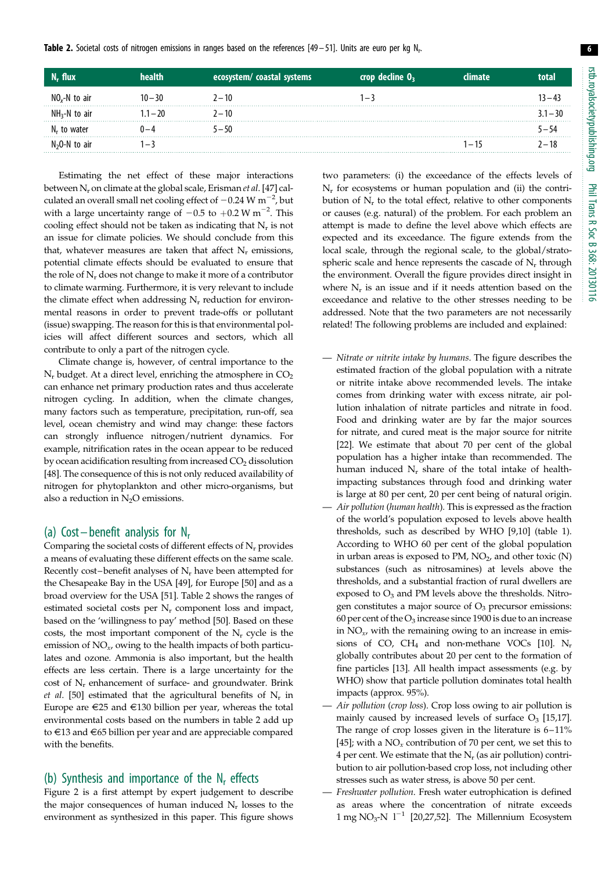| $N_r$ flux      | health.    | ecosystem/ coastal systems | crop decline $03$ | climate |            |
|-----------------|------------|----------------------------|-------------------|---------|------------|
| $NOx$ -N to air | $10 - 30$  | $2 - 10$                   | $-1$              |         |            |
| $NH3-N$ to air  | $1.1 - 20$ | $2 - 10$                   |                   |         | $3.1 - 30$ |
| $N_r$ to water  |            | $5 - 50$                   |                   |         |            |
| $N20-N$ to air  | $-1$       |                            |                   | 1 – 15  | 2–18       |

Estimating the net effect of these major interactions between  $N_r$  on climate at the global scale, Erisman et al. [\[47](#page-8-0)] calculated an overall small net cooling effect of  $-0.24$  W m $^{-2}$ , but with a large uncertainty range of  $-0.5$  to  $+0.2$  W m<sup>-2</sup>. This cooling effect should not be taken as indicating that  $N_r$  is not an issue for climate policies. We should conclude from this that, whatever measures are taken that affect  $N_r$  emissions, potential climate effects should be evaluated to ensure that the role of  $N_r$  does not change to make it more of a contributor to climate warming. Furthermore, it is very relevant to include the climate effect when addressing  $N_r$  reduction for environmental reasons in order to prevent trade-offs or pollutant (issue) swapping. The reason for this is that environmental policies will affect different sources and sectors, which all contribute to only a part of the nitrogen cycle.

Climate change is, however, of central importance to the  $N_r$  budget. At a direct level, enriching the atmosphere in  $CO_2$ can enhance net primary production rates and thus accelerate nitrogen cycling. In addition, when the climate changes, many factors such as temperature, precipitation, run-off, sea level, ocean chemistry and wind may change: these factors can strongly influence nitrogen/nutrient dynamics. For example, nitrification rates in the ocean appear to be reduced by ocean acidification resulting from increased CO<sub>2</sub> dissolution [\[48](#page-8-0)]. The consequence of this is not only reduced availability of nitrogen for phytoplankton and other micro-organisms, but also a reduction in  $N_2O$  emissions.

#### (a) Cost–benefit analysis for  $N_r$

Comparing the societal costs of different effects of  $N_r$  provides a means of evaluating these different effects on the same scale. Recently cost–benefit analyses of  $N_r$  have been attempted for the Chesapeake Bay in the USA [\[49](#page-8-0)], for Europe [\[50](#page-8-0)] and as a broad overview for the USA [[51\]](#page-8-0). Table 2 shows the ranges of estimated societal costs per  $N_r$  component loss and impact, based on the 'willingness to pay' method [[50\]](#page-8-0). Based on these costs, the most important component of the  $N_r$  cycle is the emission of  $NO<sub>x</sub>$ , owing to the health impacts of both particulates and ozone. Ammonia is also important, but the health effects are less certain. There is a large uncertainty for the cost of  $N_r$  enhancement of surface- and groundwater. Brink et al. [\[50](#page-8-0)] estimated that the agricultural benefits of  $N_r$  in Europe are  $\epsilon$ 25 and  $\epsilon$ 130 billion per year, whereas the total environmental costs based on the numbers in table 2 add up to E13 and E65 billion per year and are appreciable compared with the benefits.

#### (b) Synthesis and importance of the  $N_r$  effects

[Figure 2](#page-6-0) is a first attempt by expert judgement to describe the major consequences of human induced  $N_r$  losses to the environment as synthesized in this paper. This figure shows two parameters: (i) the exceedance of the effects levels of  $N_r$  for ecosystems or human population and (ii) the contribution of  $N_r$  to the total effect, relative to other components or causes (e.g. natural) of the problem. For each problem an attempt is made to define the level above which effects are expected and its exceedance. The figure extends from the local scale, through the regional scale, to the global/stratospheric scale and hence represents the cascade of  $N_r$  through the environment. Overall the figure provides direct insight in where  $N_r$  is an issue and if it needs attention based on the exceedance and relative to the other stresses needing to be addressed. Note that the two parameters are not necessarily related! The following problems are included and explained:

- Nitrate or nitrite intake by humans. The figure describes the estimated fraction of the global population with a nitrate or nitrite intake above recommended levels. The intake comes from drinking water with excess nitrate, air pollution inhalation of nitrate particles and nitrate in food. Food and drinking water are by far the major sources for nitrate, and cured meat is the major source for nitrite [\[22](#page-8-0)]. We estimate that about 70 per cent of the global population has a higher intake than recommended. The human induced  $N_r$  share of the total intake of healthimpacting substances through food and drinking water is large at 80 per cent, 20 per cent being of natural origin.
- Air pollution (human health). This is expressed as the fraction of the world's population exposed to levels above health thresholds, such as described by WHO [\[9,10\]](#page-7-0) ([table 1\)](#page-1-0). According to WHO 60 per cent of the global population in urban areas is exposed to PM,  $NO<sub>2</sub>$ , and other toxic  $(N)$ substances (such as nitrosamines) at levels above the thresholds, and a substantial fraction of rural dwellers are exposed to  $O_3$  and PM levels above the thresholds. Nitrogen constitutes a major source of  $O_3$  precursor emissions: 60 per cent of the  $O_3$  increase since 1900 is due to an increase in  $NO_{x}$ , with the remaining owing to an increase in emis-sions of CO, CH<sub>4</sub> and non-methane VOCs [\[10](#page-7-0)].  $N_r$ globally contributes about 20 per cent to the formation of fine particles [\[13](#page-7-0)]. All health impact assessments (e.g. by WHO) show that particle pollution dominates total health impacts (approx. 95%).
- Air pollution (crop loss). Crop loss owing to air pollution is mainly caused by increased levels of surface  $O<sub>3</sub>$  [[15,17\]](#page-7-0). The range of crop losses given in the literature is 6–11% [\[45](#page-8-0)]; with a  $NO_x$  contribution of 70 per cent, we set this to 4 per cent. We estimate that the  $N_r$  (as air pollution) contribution to air pollution-based crop loss, not including other stresses such as water stress, is above 50 per cent.
- Freshwater pollution. Fresh water eutrophication is defined as areas where the concentration of nitrate exceeds 1 mg NO<sub>3</sub>-N  $1^{-1}$  [[20,](#page-7-0)[27,52\]](#page-8-0). The Millennium Ecosystem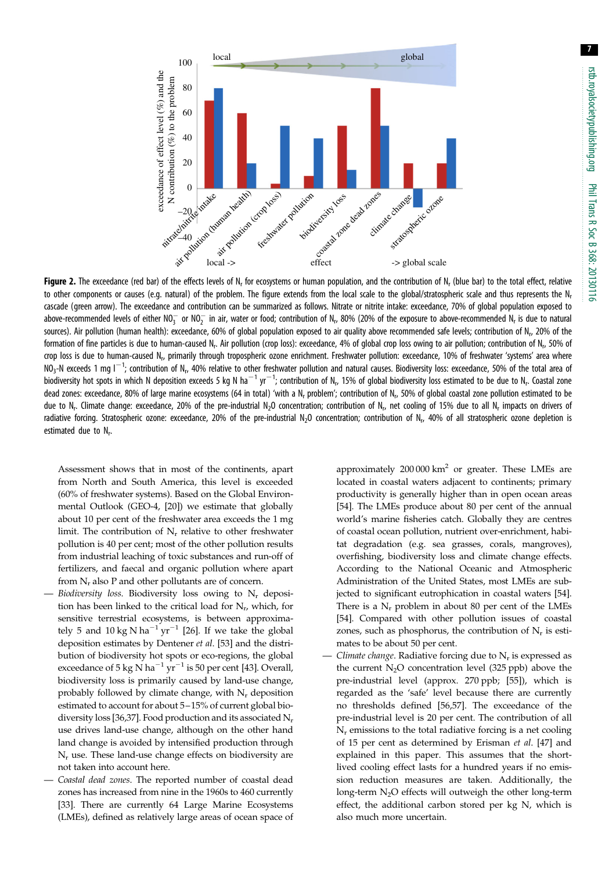<span id="page-6-0"></span>

Figure 2. The exceedance (red bar) of the effects levels of N. for ecosystems or human population, and the contribution of N. (blue bar) to the total effect, relative to other components or causes (e.g. natural) of the problem. The figure extends from the local scale to the global/stratospheric scale and thus represents the N<sub>r</sub> cascade (green arrow). The exceedance and contribution can be summarized as follows. Nitrate or nitrite intake: exceedance, 70% of global population exposed to above-recommended levels of either NO $_3^-$  or NO $_2^-$  in air, water or food; contribution of N<sub>r</sub>, 80% (20% of the exposure to above-recommended N<sub>r</sub> is due to natural sources). Air pollution (human health): exceedance, 60% of global population exposed to air quality above recommended safe levels; contribution of Nr , 20% of the formation of fine particles is due to human-caused N<sub>r</sub>. Air pollution (crop loss): exceedance, 4% of global crop loss owing to air pollution; contribution of N<sub>r</sub>, 50% of crop loss is due to human-caused N<sub>r</sub>, primarily through tropospheric ozone enrichment. Freshwater pollution: exceedance, 10% of freshwater 'systems' area where NO<sub>3</sub>-N exceeds 1 mg l $^{-1}$ ; contribution of N<sub>r</sub>, 40% relative to other freshwater pollution and natural causes. Biodiversity loss: exceedance, 50% of the total area of biodiversity hot spots in which N deposition exceeds 5 kg N ha $^{-1}$  yr $^{-1}$ ; contribution of N<sub>r</sub>, 15% of global biodiversity loss estimated to be due to N<sub>r</sub>. Coastal zone dead zones: exceedance, 80% of large marine ecosystems (64 in total) 'with a N<sub>r</sub> problem'; contribution of N<sub>r</sub>, 50% of global coastal zone pollution estimated to be due to N<sub>r</sub>. Climate change: exceedance, 20% of the pre-industrial N<sub>2</sub>O concentration; contribution of N<sub>r</sub>, net cooling of 15% due to all N<sub>r</sub> impacts on drivers of radiative forcing. Stratospheric ozone: exceedance, 20% of the pre-industrial N<sub>2</sub>O concentration; contribution of N<sub>r</sub>, 40% of all stratospheric ozone depletion is estimated due to N<sub>r</sub>. .

Assessment shows that in most of the continents, apart from North and South America, this level is exceeded (60% of freshwater systems). Based on the Global Environmental Outlook (GEO-4, [\[20\]](#page-7-0)) we estimate that globally about 10 per cent of the freshwater area exceeds the 1 mg limit. The contribution of  $N_r$  relative to other freshwater pollution is 40 per cent; most of the other pollution results from industrial leaching of toxic substances and run-off of fertilizers, and faecal and organic pollution where apart from  $N_r$  also P and other pollutants are of concern.

- Biodiversity loss. Biodiversity loss owing to  $N_r$  deposition has been linked to the critical load for  $N_r$ , which, for sensitive terrestrial ecosystems, is between approxima-tely 5 and 10 kg N ha<sup>-1</sup> yr<sup>-1</sup> [[26\]](#page-8-0). If we take the global deposition estimates by Dentener et al. [\[53](#page-8-0)] and the distribution of biodiversity hot spots or eco-regions, the global exceedance of 5 kg N ha<sup>-1</sup> yr<sup>-1</sup> is 50 per cent [\[43](#page-8-0)]. Overall, biodiversity loss is primarily caused by land-use change, probably followed by climate change, with  $N_r$  deposition estimated to account for about 5–15% of current global bio-diversity loss [\[36,37](#page-8-0)]. Food production and its associated  $N_r$ use drives land-use change, although on the other hand land change is avoided by intensified production through  $N_r$  use. These land-use change effects on biodiversity are not taken into account here.
- Coastal dead zones. The reported number of coastal dead zones has increased from nine in the 1960s to 460 currently [[33\]](#page-8-0). There are currently 64 Large Marine Ecosystems (LMEs), defined as relatively large areas of ocean space of

approximately  $200000 \text{ km}^2$  or greater. These LMEs are located in coastal waters adjacent to continents; primary productivity is generally higher than in open ocean areas [\[54](#page-8-0)]. The LMEs produce about 80 per cent of the annual world's marine fisheries catch. Globally they are centres of coastal ocean pollution, nutrient over-enrichment, habitat degradation (e.g. sea grasses, corals, mangroves), overfishing, biodiversity loss and climate change effects. According to the National Oceanic and Atmospheric Administration of the United States, most LMEs are subjected to significant eutrophication in coastal waters [[54\]](#page-8-0). There is a  $N_r$  problem in about 80 per cent of the LMEs [\[54](#page-8-0)]. Compared with other pollution issues of coastal zones, such as phosphorus, the contribution of  $N_r$  is estimates to be about 50 per cent.

Climate change. Radiative forcing due to  $N_r$  is expressed as the current  $N<sub>2</sub>O$  concentration level (325 ppb) above the pre-industrial level (approx. 270 ppb; [\[55](#page-8-0)]), which is regarded as the 'safe' level because there are currently no thresholds defined [[56,57](#page-8-0)]. The exceedance of the pre-industrial level is 20 per cent. The contribution of all  $N_r$  emissions to the total radiative forcing is a net cooling of 15 per cent as determined by Erisman et al. [\[47](#page-8-0)] and explained in this paper. This assumes that the shortlived cooling effect lasts for a hundred years if no emission reduction measures are taken. Additionally, the long-term  $N_2O$  effects will outweigh the other long-term effect, the additional carbon stored per kg N, which is also much more uncertain.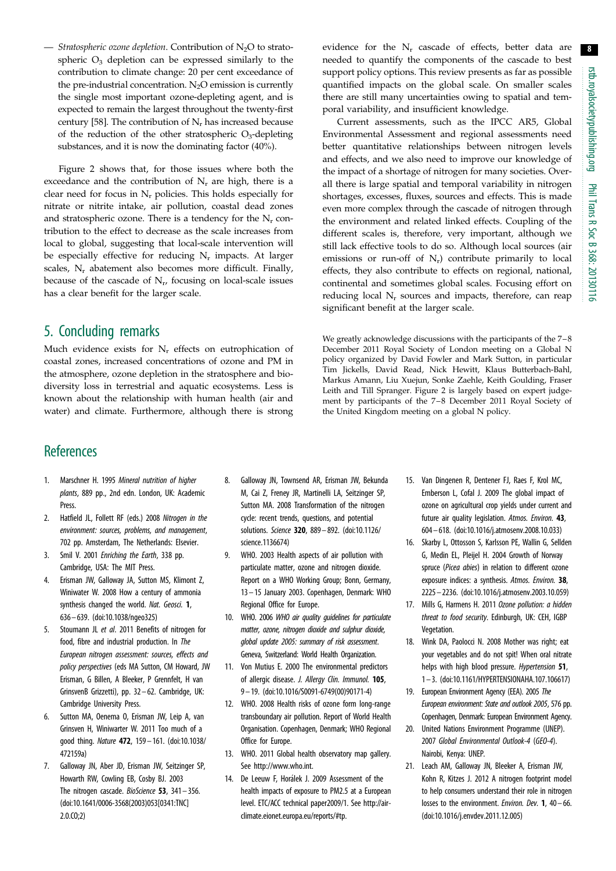<span id="page-7-0"></span>— Stratospheric ozone depletion. Contribution of  $N_2O$  to stratospheric  $O_3$  depletion can be expressed similarly to the contribution to climate change: 20 per cent exceedance of the pre-industrial concentration.  $N_2O$  emission is currently the single most important ozone-depleting agent, and is expected to remain the largest throughout the twenty-first century [\[58](#page-8-0)]. The contribution of  $N_r$  has increased because of the reduction of the other stratospheric  $O_3$ -depleting substances, and it is now the dominating factor (40%).

[Figure 2](#page-6-0) shows that, for those issues where both the exceedance and the contribution of  $N_r$  are high, there is a clear need for focus in  $N_r$  policies. This holds especially for nitrate or nitrite intake, air pollution, coastal dead zones and stratospheric ozone. There is a tendency for the  $N_r$  contribution to the effect to decrease as the scale increases from local to global, suggesting that local-scale intervention will be especially effective for reducing  $N_r$  impacts. At larger scales,  $N_r$  abatement also becomes more difficult. Finally, because of the cascade of  $N_{\tau}$  focusing on local-scale issues has a clear benefit for the larger scale.

### 5. Concluding remarks

Much evidence exists for  $N_r$  effects on eutrophication of coastal zones, increased concentrations of ozone and PM in the atmosphere, ozone depletion in the stratosphere and biodiversity loss in terrestrial and aquatic ecosystems. Less is known about the relationship with human health (air and water) and climate. Furthermore, although there is strong evidence for the N<sub>r</sub> cascade of effects, better data are needed to quantify the components of the cascade to best support policy options. This review presents as far as possible quantified impacts on the global scale. On smaller scales there are still many uncertainties owing to spatial and temporal variability, and insufficient knowledge.

Current assessments, such as the IPCC AR5, Global Environmental Assessment and regional assessments need better quantitative relationships between nitrogen levels and effects, and we also need to improve our knowledge of the impact of a shortage of nitrogen for many societies. Overall there is large spatial and temporal variability in nitrogen shortages, excesses, fluxes, sources and effects. This is made even more complex through the cascade of nitrogen through the environment and related linked effects. Coupling of the different scales is, therefore, very important, although we still lack effective tools to do so. Although local sources (air emissions or run-off of  $N_r$ ) contribute primarily to local effects, they also contribute to effects on regional, national, continental and sometimes global scales. Focusing effort on reducing local  $N_r$  sources and impacts, therefore, can reap significant benefit at the larger scale.

We greatly acknowledge discussions with the participants of the  $7-8$ December 2011 Royal Society of London meeting on a Global N policy organized by David Fowler and Mark Sutton, in particular Tim Jickells, David Read, Nick Hewitt, Klaus Butterbach-Bahl, Markus Amann, Liu Xuejun, Sonke Zaehle, Keith Goulding, Fraser Leith and Till Spranger. [Figure 2](#page-6-0) is largely based on expert judgement by participants of the 7–8 December 2011 Royal Society of the United Kingdom meeting on a global N policy.

### **References**

- 1. Marschner H. 1995 Mineral nutrition of higher plants, 889 pp., 2nd edn. London, UK: Academic Press.
- 2. Hatfield JL, Follett RF (eds.) 2008 Nitrogen in the environment: sources, problems, and management, 702 pp. Amsterdam, The Netherlands: Elsevier.
- 3. Smil V. 2001 Enriching the Earth, 338 pp. Cambridge, USA: The MIT Press.
- 4. Erisman JW, Galloway JA, Sutton MS, Klimont Z, Winiwater W. 2008 How a century of ammonia synthesis changed the world. Nat. Geosci. 1, 636– 639. ([doi:10.1038/ngeo325\)](http://dx.doi.org/10.1038/ngeo325)
- 5. Stoumann JL et al. 2011 Benefits of nitrogen for food, fibre and industrial production. In The European nitrogen assessment: sources, effects and policy perspectives (eds MA Sutton, CM Howard, JW Erisman, G Billen, A Bleeker, P Grennfelt, H van GrinsvenB Grizzetti), pp. 32 – 62. Cambridge, UK: Cambridge University Press.
- 6. Sutton MA, Oenema O, Erisman JW, Leip A, van Grinsven H, Winiwarter W. 2011 Too much of a good thing. Nature 472, 159– 161. [\(doi:10.1038/](http://dx.doi.org/10.1038/472159a) [472159a\)](http://dx.doi.org/10.1038/472159a)
- 7. Galloway JN, Aber JD, Erisman JW, Seitzinger SP, Howarth RW, Cowling EB, Cosby BJ. 2003 The nitrogen cascade. BioScience 53, 341-356. [\(doi:10.1641/0006-3568\(2003\)053\[0341:TNC\]](http://dx.doi.org/10.1641/0006-3568(2003)053[0341:TNC]2.0.CO;2) [2.0.CO;2](http://dx.doi.org/10.1641/0006-3568(2003)053[0341:TNC]2.0.CO;2))
- 8. Galloway JN, Townsend AR, Erisman JW, Bekunda M, Cai Z, Freney JR, Martinelli LA, Seitzinger SP, Sutton MA. 2008 Transformation of the nitrogen cycle: recent trends, questions, and potential solutions. Science 320, 889– 892. ([doi:10.1126/](http://dx.doi.org/10.1126/science.1136674) [science.1136674\)](http://dx.doi.org/10.1126/science.1136674)
- 9. WHO. 2003 Health aspects of air pollution with particulate matter, ozone and nitrogen dioxide. Report on a WHO Working Group; Bonn, Germany, 13 – 15 January 2003. Copenhagen, Denmark: WHO Regional Office for Europe.
- 10. WHO. 2006 WHO air quality guidelines for particulate matter, ozone, nitrogen dioxide and sulphur dioxide, global update 2005: summary of risk assessment. Geneva, Switzerland: World Health Organization.
- 11. Von Mutius E. 2000 The environmental predictors of allergic disease. J. Allergy Clin. Immunol. 105, 9 – 19. [\(doi:10.1016/S0091-6749\(00\)90171-4](http://dx.doi.org/10.1016/S0091-6749(00)90171-4))
- 12. WHO. 2008 Health risks of ozone form long-range transboundary air pollution. Report of World Health Organisation. Copenhagen, Denmark; WHO Regional Office for Europe.
- 13. WHO. 2011 Global health observatory map gallery. See<http://www.who.int>.
- 14. De Leeuw F, Horálek J. 2009 Assessment of the health impacts of exposure to PM2.5 at a European level. ETC/ACC technical paper2009/1. See [http://air](http://air-climate.eionet.europa.eu/reports/%23tp)[climate.eionet.europa.eu/reports/#tp.](http://air-climate.eionet.europa.eu/reports/%23tp)
- 15. Van Dingenen R, Dentener FJ, Raes F, Krol MC, Emberson L, Cofal J. 2009 The global impact of ozone on agricultural crop yields under current and future air quality legislation. Atmos. Environ. 43, 604– 618. [\(doi:10.1016/j.atmosenv.2008.10.033](http://dx.doi.org/10.1016/j.atmosenv.2008.10.033))
- 16. Skarby L, Ottosson S, Karlsson PE, Wallin G, Sellden G, Medin EL, Pleijel H. 2004 Growth of Norway spruce (Picea abies) in relation to different ozone exposure indices: a synthesis. Atmos. Environ. 38, 2225– 2236. ([doi:10.1016/j.atmosenv.2003.10.059\)](http://dx.doi.org/10.1016/j.atmosenv.2003.10.059)
- 17. Mills G, Harmens H. 2011 Ozone pollution: a hidden threat to food security. Edinburgh, UK: CEH, IGBP Vegetation.
- 18. Wink DA, Paolocci N. 2008 Mother was right; eat your vegetables and do not spit! When oral nitrate helps with high blood pressure. Hypertension 51, 1– 3. ([doi:10.1161/HYPERTENSIONAHA.107.106617\)](http://dx.doi.org/10.1161/HYPERTENSIONAHA.107.106617)
- 19. European Environment Agency (EEA). 2005 The European environment: State and outlook 2005, 576 pp. Copenhagen, Denmark: European Environment Agency.
- 20. United Nations Environment Programme (UNEP). 2007 Global Environmental Outlook-4 (GEO-4). Nairobi, Kenya: UNEP.
- 21. Leach AM, Galloway JN, Bleeker A, Erisman JW, Kohn R, Kitzes J. 2012 A nitrogen footprint model to help consumers understand their role in nitrogen losses to the environment. *Environ. Dev.* **1**,  $40 - 66$ . ([doi:10.1016/j.envdev.2011.12.005\)](http://dx.doi.org/10.1016/j.envdev.2011.12.005)